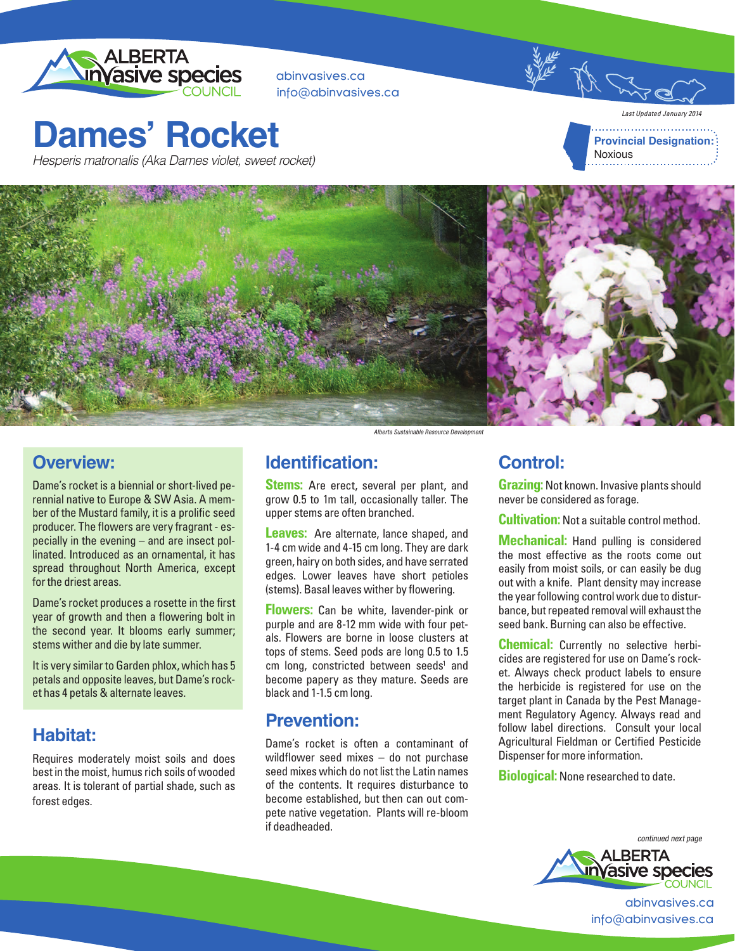

abinvasives.ca info@abinvasives.ca

# **Dames' Rocket**

Hesperis matronalis (Aka Dames violet, sweet rocket)





### **Overview:**

Dame's rocket is a biennial or short-lived perennial native to Europe & SW Asia. A member of the Mustard family, it is a prolific seed producer. The flowers are very fragrant - especially in the evening – and are insect pollinated. Introduced as an ornamental, it has spread throughout North America, except for the driest areas.

Dame's rocket produces a rosette in the first year of growth and then a flowering bolt in the second year. It blooms early summer; stems wither and die by late summer.

It is very similar to Garden phlox, which has 5 petals and opposite leaves, but Dame's rocket has 4 petals & alternate leaves.

### **Habitat:**

Requires moderately moist soils and does best in the moist, humus rich soils of wooded areas. It is tolerant of partial shade, such as forest edges.

Alberta Sustainable Resource Development

#### **Identification:**

**Stems:** Are erect, several per plant, and grow 0.5 to 1m tall, occasionally taller. The upper stems are often branched.

**Leaves:** Are alternate, lance shaped, and 1-4 cm wide and 4-15 cm long. They are dark green, hairy on both sides, and have serrated edges. Lower leaves have short petioles (stems). Basal leaves wither by flowering.

**Flowers:** Can be white, lavender-pink or purple and are 8-12 mm wide with four petals. Flowers are borne in loose clusters at tops of stems. Seed pods are long 0.5 to 1.5 cm long, constricted between seeds<sup>1</sup> and become papery as they mature. Seeds are black and 1-1.5 cm long.

#### **Prevention:**

Dame's rocket is often a contaminant of wildflower seed mixes – do not purchase seed mixes which do not list the Latin names of the contents. It requires disturbance to become established, but then can out compete native vegetation. Plants will re-bloom if deadheaded.

#### **Control:**

**Grazing:** Not known. Invasive plants should never be considered as forage.

**Cultivation:** Not a suitable control method.

**Mechanical:** Hand pulling is considered the most effective as the roots come out easily from moist soils, or can easily be dug out with a knife. Plant density may increase the year following control work due to disturbance, but repeated removal will exhaust the seed bank. Burning can also be effective.

**Chemical:** Currently no selective herbicides are registered for use on Dame's rocket. Always check product labels to ensure the herbicide is registered for use on the target plant in Canada by the Pest Management Regulatory Agency. Always read and follow label directions. Consult your local Agricultural Fieldman or Certified Pesticide Dispenser for more information.

**Biological:** None researched to date.



abinvasives.ca info@abinvasives.ca